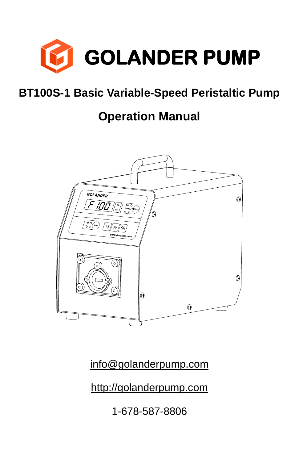

## **BT100S-1 Basic Variable-Speed Peristaltic Pump**

## **Operation Manual**



[info@golanderpump.com](mailto:info@golanderpump.com)

[http://golanderpump.com](http://golanderpump.com/)

1-678-587-8806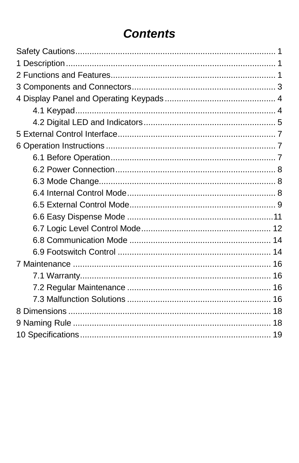## **Contents**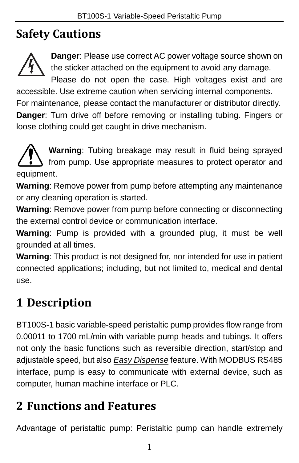# <span id="page-2-0"></span>**Safety Cautions**



**Danger**: Please use correct AC power voltage source shown on the sticker attached on the equipment to avoid any damage.

Please do not open the case. High voltages exist and are accessible. Use extreme caution when servicing internal components.

For maintenance, please contact the manufacturer or distributor directly. **Danger**: Turn drive off before removing or installing tubing. Fingers or loose clothing could get caught in drive mechanism.

**Warning**: Tubing breakage may result in fluid being sprayed from pump. Use appropriate measures to protect operator and equipment.

**Warning**: Remove power from pump before attempting any maintenance or any cleaning operation is started.

**Warning**: Remove power from pump before connecting or disconnecting the external control device or communication interface.

**Warning**: Pump is provided with a grounded plug, it must be well grounded at all times.

**Warning**: This product is not designed for, nor intended for use in patient connected applications; including, but not limited to, medical and dental use.

# <span id="page-2-1"></span>**1 Description**

BT100S-1 basic variable-speed peristaltic pump provides flow range from 0.00011 to 1700 mL/min with variable pump heads and tubings. It offers not only the basic functions such as reversible direction, start/stop and adjustable speed, but also *[Easy Dispense](#page-12-0)* feature. With MODBUS RS485 interface, pump is easy to communicate with external device, such as computer, human machine interface or PLC.

## <span id="page-2-2"></span>**2 Functions and Features**

Advantage of peristaltic pump: Peristaltic pump can handle extremely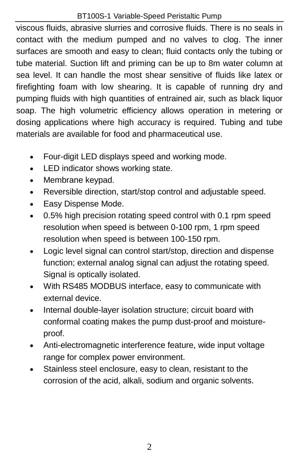#### BT100S-1 Variable-Speed Peristaltic Pump

viscous fluids, abrasive slurries and corrosive fluids. There is no seals in contact with the medium pumped and no valves to clog. The inner surfaces are smooth and easy to clean; fluid contacts only the tubing or tube material. Suction lift and priming can be up to 8m water column at sea level. It can handle the most shear sensitive of fluids like latex or firefighting foam with low shearing. It is capable of running dry and pumping fluids with high quantities of entrained air, such as black liquor soap. The high volumetric efficiency allows operation in metering or dosing applications where high accuracy is required. Tubing and tube materials are available for food and pharmaceutical use.

- Four-digit LED displays speed and working mode.
- LED indicator shows working state.
- Membrane keypad.
- Reversible direction, start/stop control and adjustable speed.
- Easy Dispense Mode.
- 0.5% high precision rotating speed control with 0.1 rpm speed resolution when speed is between 0-100 rpm, 1 rpm speed resolution when speed is between 100-150 rpm.
- Logic level signal can control start/stop, direction and dispense function; external analog signal can adjust the rotating speed. Signal is optically isolated.
- With RS485 MODBUS interface, easy to communicate with external device.
- Internal double-layer isolation structure; circuit board with conformal coating makes the pump dust-proof and moistureproof.
- Anti-electromagnetic interference feature, wide input voltage range for complex power environment.
- Stainless steel enclosure, easy to clean, resistant to the corrosion of the acid, alkali, sodium and organic solvents.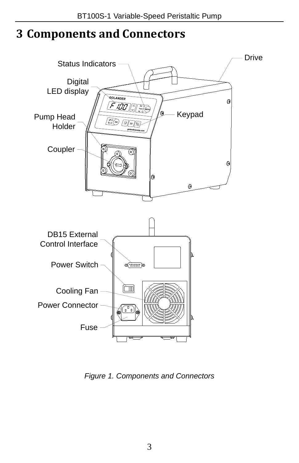## <span id="page-4-0"></span>**3 Components and Connectors**



*Figure 1. Components and Connectors*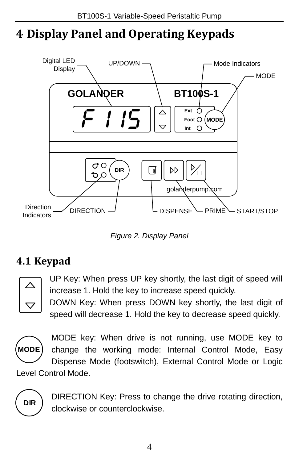# <span id="page-5-0"></span>**4 Display Panel and Operating Keypads**



*Figure 2. Display Panel*

## <span id="page-5-1"></span>**4.1 Keypad**



UP Key: When press UP key shortly, the last digit of speed will increase 1. Hold the key to increase speed quickly.

DOWN Key: When press DOWN key shortly, the last digit of speed will decrease 1. Hold the key to decrease speed quickly.



MODE key: When drive is not running, use MODE key to change the working mode: Internal Control Mode, Easy Dispense Mode (footswitch), External Control Mode or Logic

Level Control Mode.



DIRECTION Key: Press to change the drive rotating direction, clockwise or counterclockwise.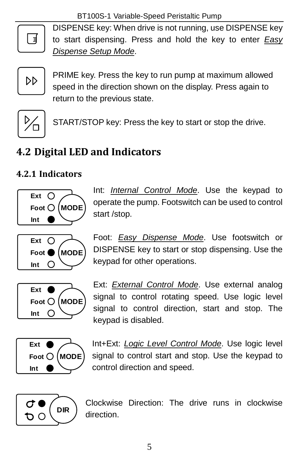

DISPENSE key: When drive is not running, use DISPENSE key to start dispensing. Press and hold the key to enter *[Easy](#page-13-1)  [Dispense Setup Mode](#page-13-1)*.



PRIME key. Press the key to run pump at maximum allowed speed in the direction shown on the display. Press again to return to the previous state.



START/STOP key: Press the key to start or stop the drive.

#### <span id="page-6-0"></span>**4.2 Digital LED and Indicators**

#### **4.2.1 Indicators**



Ext  $\bigcap$ **Foot MODE Int**  $\circ$ 

Int: *[Internal Control Mode](#page-9-2)*. Use the keypad to operate the pump. Footswitch can be used to control start /stop.

Foot: *[Easy Dispense](#page-12-0) Mode*. Use footswitch or DISPENSE key to start or stop dispensing. Use the keypad for other operations.



Ext: *[External Control](#page-10-0) Mode*. Use external analog signal to control rotating speed. Use logic level signal to control direction, start and stop. The keypad is disabled.



Int+Ext: *[Logic Level Control Mode](#page-13-0)*. Use logic level signal to control start and stop. Use the keypad to control direction and speed.



Clockwise Direction: The drive runs in clockwise direction.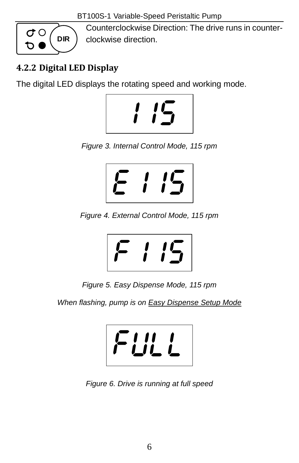BT100S-1 Variable-Speed Peristaltic Pump



Counterclockwise Direction: The drive runs in counterclockwise direction.

#### **4.2.2 Digital LED Display**

The digital LED displays the rotating speed and working mode.



*Figure 3. Internal Control Mode, 115 rpm*



*Figure 4. External Control Mode, 115 rpm*



*Figure 5. Easy Dispense Mode, 115 rpm*

*When flashing, pump is on [Easy Dispense Setup Mode](#page-13-1)*



*Figure 6. Drive is running at full speed*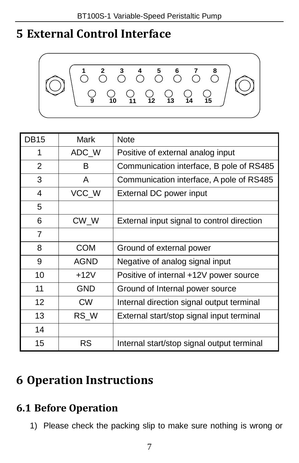## <span id="page-8-0"></span>**External Control Interface**



| <b>DB15</b>    | Mark        | <b>Note</b>                                |  |
|----------------|-------------|--------------------------------------------|--|
| 1              | ADC_W       | Positive of external analog input          |  |
| $\overline{2}$ | В           | Communication interface, B pole of RS485   |  |
| 3              | A           | Communication interface, A pole of RS485   |  |
| 4              | VCC_W       | External DC power input                    |  |
| 5              |             |                                            |  |
| 6              | $CW_W$      | External input signal to control direction |  |
| $\overline{7}$ |             |                                            |  |
| 8              | <b>COM</b>  | Ground of external power                   |  |
| 9              | <b>AGND</b> | Negative of analog signal input            |  |
| 10             | $+12V$      | Positive of internal +12V power source     |  |
| 11             | <b>GND</b>  | Ground of Internal power source            |  |
| 12             | <b>CW</b>   | Internal direction signal output terminal  |  |
| 13             | RS W        | External start/stop signal input terminal  |  |
| 14             |             |                                            |  |
| 15             | <b>RS</b>   | Internal start/stop signal output terminal |  |

## <span id="page-8-1"></span>**Operation Instructions**

## <span id="page-8-2"></span>**6.1 Before Operation**

1) Please check the packing slip to make sure nothing is wrong or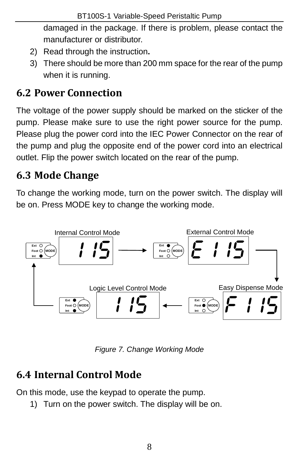damaged in the package. If there is problem, please contact the manufacturer or distributor.

- 2) Read through the instruction**.**
- 3) There should be more than 200 mm space for the rear of the pump when it is running.

## <span id="page-9-0"></span>**6.2 Power Connection**

The voltage of the power supply should be marked on the sticker of the pump. Please make sure to use the right power source for the pump. Please plug the power cord into the IEC Power Connector on the rear of the pump and plug the opposite end of the power cord into an electrical outlet. Flip the power switch located on the rear of the pump.

#### <span id="page-9-1"></span>**6.3 Mode Change**

To change the working mode, turn on the power switch. The display will be on. Press MODE key to change the working mode.



*Figure 7. Change Working Mode*

# <span id="page-9-2"></span>**6.4 Internal Control Mode**

On this mode, use the keypad to operate the pump.

1) Turn on the power switch. The display will be on.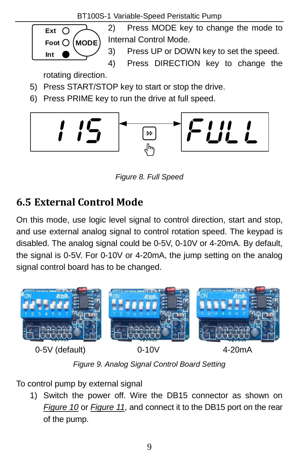

*Figure 8. Full Speed*

#### <span id="page-10-0"></span>**6.5 External Control Mode**

On this mode, use logic level signal to control direction, start and stop, and use external analog signal to control rotation speed. The keypad is disabled. The analog signal could be 0-5V, 0-10V or 4-20mA. By default, the signal is 0-5V. For 0-10V or 4-20mA, the jump setting on the analog signal control board has to be changed.



*Figure 9. Analog Signal Control Board Setting*

To control pump by external signal

1) Switch the power off. Wire the DB15 connector as shown on *[Figure 10](#page-11-0)* or *[Figure 11](#page-11-1)*, and connect it to the DB15 port on the rear of the pump.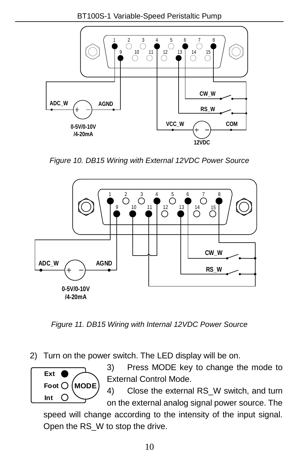

*Figure 10. DB15 Wiring with External 12VDC Power Source*

<span id="page-11-0"></span>

<span id="page-11-1"></span>*Figure 11. DB15 Wiring with Internal 12VDC Power Source*

2) Turn on the power switch. The LED display will be on.



3) Press MODE key to change the mode to External Control Mode.

4) Close the external RS W switch, and turn on the external analog signal power source. The

speed will change according to the intensity of the input signal. Open the RS\_W to stop the drive.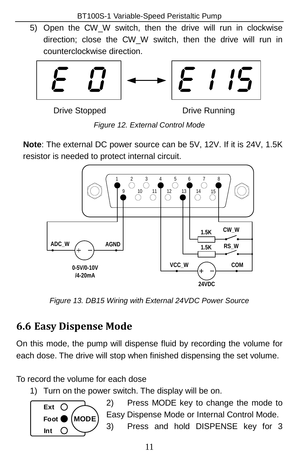5) Open the CW\_W switch, then the drive will run in clockwise direction; close the CW\_W switch, then the drive will run in counterclockwise direction.



Drive Stopped Drive Running

*Figure 12. External Control Mode*

**Note**: The external DC power source can be 5V, 12V. If it is 24V, 1.5K resistor is needed to protect internal circuit.



*Figure 13. DB15 Wiring with External 24VDC Power Source*

## <span id="page-12-0"></span>**6.6 Easy Dispense Mode**

On this mode, the pump will dispense fluid by recording the volume for each dose. The drive will stop when finished dispensing the set volume.

To record the volume for each dose

1) Turn on the power switch. The display will be on.



2) Press MODE key to change the mode to Easy Dispense Mode or Internal Control Mode. 3) Press and hold DISPENSE key for 3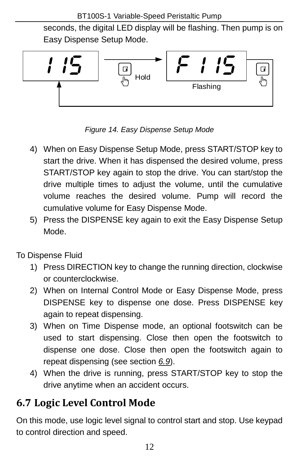seconds, the digital LED display will be flashing. Then pump is on Easy Dispense Setup Mode.



<span id="page-13-1"></span>*Figure 14. Easy Dispense Setup Mode*

- 4) When on Easy Dispense Setup Mode, press START/STOP key to start the drive. When it has dispensed the desired volume, press START/STOP key again to stop the drive. You can start/stop the drive multiple times to adjust the volume, until the cumulative volume reaches the desired volume. Pump will record the cumulative volume for Easy Dispense Mode.
- 5) Press the DISPENSE key again to exit the Easy Dispense Setup Mode.
- To Dispense Fluid
	- 1) Press DIRECTION key to change the running direction, clockwise or counterclockwise.
	- 2) When on Internal Control Mode or Easy Dispense Mode, press DISPENSE key to dispense one dose. Press DISPENSE key again to repeat dispensing.
	- 3) When on Time Dispense mode, an optional footswitch can be used to start dispensing. Close then open the footswitch to dispense one dose. Close then open the footswitch again to repeat dispensing (see section *[6.9](#page-15-1)*).
	- 4) When the drive is running, press START/STOP key to stop the drive anytime when an accident occurs.

## <span id="page-13-0"></span>**6.7 Logic Level Control Mode**

On this mode, use logic level signal to control start and stop. Use keypad to control direction and speed.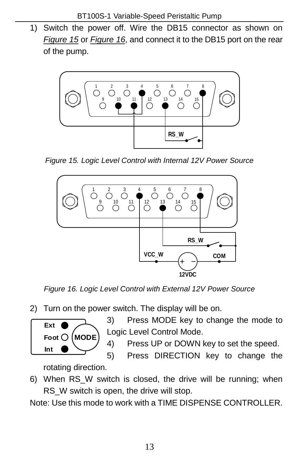1) Switch the power off. Wire the DB15 connector as shown on *[Figure 15](#page-14-0)* or *[Figure 16](#page-14-1)*, and connect it to the DB15 port on the rear of the pump.



<span id="page-14-0"></span>*Figure 15. Logic Level Control with Internal 12V Power Source*



*Figure 16. Logic Level Control with External 12V Power Source*

<span id="page-14-1"></span>2) Turn on the power switch. The display will be on.

**Foot MODE Ext Int**

3) Press MODE key to change the mode to Logic Level Control Mode.

4) Press UP or DOWN key to set the speed.

5) Press DIRECTION key to change the rotating direction.

6) When RS\_W switch is closed, the drive will be running; when RS W switch is open, the drive will stop.

Note: Use this mode to work with a TIME DISPENSE CONTROLLER.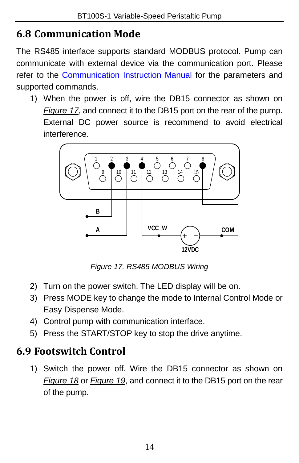#### <span id="page-15-0"></span>**6.8 Communication Mode**

The RS485 interface supports standard MODBUS protocol. Pump can communicate with external device via the communication port. Please refer to the [Communication Instruction Manual](http://golanderpump.com/pub/media/updown/manuals/Peristaltic_Pump_MODBUS.pdf) for the parameters and supported commands.

1) When the power is off, wire the DB15 connector as shown on *[Figure 17](#page-15-2)*, and connect it to the DB15 port on the rear of the pump. External DC power source is recommend to avoid electrical interference.



*Figure 17. RS485 MODBUS Wiring*

- <span id="page-15-2"></span>2) Turn on the power switch. The LED display will be on.
- 3) Press MODE key to change the mode to Internal Control Mode or Easy Dispense Mode.
- 4) Control pump with communication interface.
- 5) Press the START/STOP key to stop the drive anytime.

#### <span id="page-15-1"></span>**6.9 Footswitch Control**

1) Switch the power off. Wire the DB15 connector as shown on *[Figure 18](#page-16-0)* or *[Figure 19](#page-16-1)*, and connect it to the DB15 port on the rear of the pump.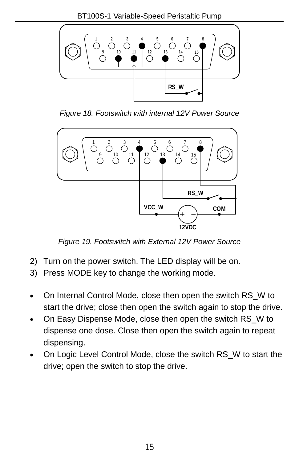

*Figure 18. Footswitch with internal 12V Power Source*

<span id="page-16-0"></span>

*Figure 19. Footswitch with External 12V Power Source*

- <span id="page-16-1"></span>2) Turn on the power switch. The LED display will be on.
- 3) Press MODE key to change the working mode.
- On Internal Control Mode, close then open the switch RS\_W to start the drive; close then open the switch again to stop the drive.
- On Easy Dispense Mode, close then open the switch RS\_W to dispense one dose. Close then open the switch again to repeat dispensing.
- On Logic Level Control Mode, close the switch RS\_W to start the drive; open the switch to stop the drive.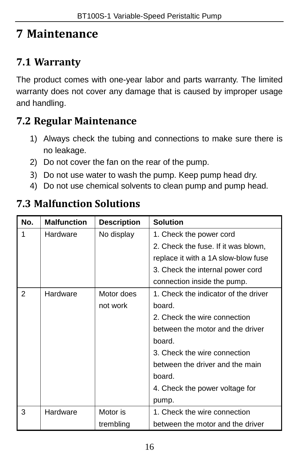## <span id="page-17-0"></span>**7 Maintenance**

#### <span id="page-17-1"></span>**7.1 Warranty**

The product comes with one-year labor and parts warranty. The limited warranty does not cover any damage that is caused by improper usage and handling.

#### <span id="page-17-2"></span>**7.2 Regular Maintenance**

- 1) Always check the tubing and connections to make sure there is no leakage.
- 2) Do not cover the fan on the rear of the pump.
- 3) Do not use water to wash the pump. Keep pump head dry.
- 4) Do not use chemical solvents to clean pump and pump head.

#### <span id="page-17-3"></span>**7.3 Malfunction Solutions**

| No. | <b>Malfunction</b> | <b>Description</b> | <b>Solution</b>                      |  |
|-----|--------------------|--------------------|--------------------------------------|--|
| 1   | Hardware           | No display         | 1. Check the power cord              |  |
|     |                    |                    | 2. Check the fuse. If it was blown,  |  |
|     |                    |                    | replace it with a 1A slow-blow fuse  |  |
|     |                    |                    | 3. Check the internal power cord     |  |
|     |                    |                    | connection inside the pump.          |  |
| 2   | Hardware           | Motor does         | 1. Check the indicator of the driver |  |
|     |                    | not work           | board.                               |  |
|     |                    |                    | 2. Check the wire connection         |  |
|     |                    |                    | between the motor and the driver     |  |
|     |                    |                    | board.                               |  |
|     |                    |                    | 3. Check the wire connection         |  |
|     |                    |                    | between the driver and the main      |  |
|     |                    |                    | board.                               |  |
|     |                    |                    | 4. Check the power voltage for       |  |
|     |                    |                    | pump.                                |  |
| 3   | Hardware           | Motor is           | 1. Check the wire connection         |  |
|     |                    | trembling          | between the motor and the driver     |  |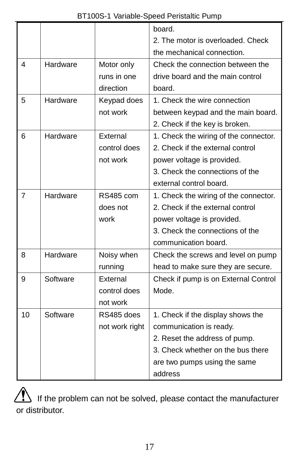|                |          |                | board.                                |  |
|----------------|----------|----------------|---------------------------------------|--|
|                |          |                | 2. The motor is overloaded. Check     |  |
|                |          |                | the mechanical connection.            |  |
| 4              | Hardware | Motor only     | Check the connection between the      |  |
|                |          | runs in one    | drive board and the main control      |  |
|                |          | direction      | board.                                |  |
| 5              | Hardware | Keypad does    | 1. Check the wire connection          |  |
|                |          | not work       | between keypad and the main board.    |  |
|                |          |                | 2. Check if the key is broken.        |  |
| 6              | Hardware | External       | 1. Check the wiring of the connector. |  |
|                |          | control does   | 2. Check if the external control      |  |
|                |          | not work       | power voltage is provided.            |  |
|                |          |                | 3. Check the connections of the       |  |
|                |          |                | external control board.               |  |
| $\overline{7}$ | Hardware | RS485 com      | 1. Check the wiring of the connector. |  |
|                |          | does not       | 2. Check if the external control      |  |
|                |          | work           | power voltage is provided.            |  |
|                |          |                | 3. Check the connections of the       |  |
|                |          |                | communication board.                  |  |
| 8              | Hardware | Noisy when     | Check the screws and level on pump    |  |
|                |          | running        | head to make sure they are secure.    |  |
| 9              | Software | External       | Check if pump is on External Control  |  |
|                |          | control does   | Mode.                                 |  |
|                |          | not work       |                                       |  |
| 10             | Software | RS485 does     | 1. Check if the display shows the     |  |
|                |          | not work right | communication is ready.               |  |
|                |          |                | 2. Reset the address of pump.         |  |
|                |          |                | 3. Check whether on the bus there     |  |
|                |          |                | are two pumps using the same          |  |
|                |          |                | address                               |  |

If the problem can not be solved, please contact the manufacturer or distributor.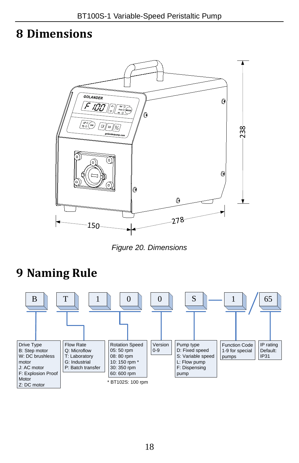#### <span id="page-19-0"></span>**8 Dimensions**



*Figure 20. Dimensions*

# <span id="page-19-1"></span>**9 Naming Rule**

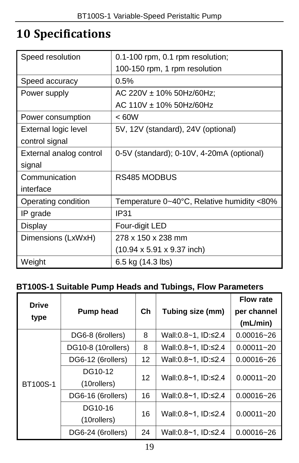## <span id="page-20-0"></span>**10 Specifications**

| Speed resolution        | 0.1-100 rpm, 0.1 rpm resolution;               |  |
|-------------------------|------------------------------------------------|--|
|                         | 100-150 rpm, 1 rpm resolution                  |  |
| Speed accuracy          | 0.5%                                           |  |
| Power supply            | AC 220V $\pm$ 10% 50Hz/60Hz;                   |  |
|                         | AC 110V ± 10% 50Hz/60Hz                        |  |
| Power consumption       | < 60W                                          |  |
| External logic level    | 5V, 12V (standard), 24V (optional)             |  |
| control signal          |                                                |  |
| External analog control | 0-5V (standard); 0-10V, 4-20mA (optional)      |  |
| signal                  |                                                |  |
| Communication           | <b>RS485 MODBUS</b>                            |  |
| interface               |                                                |  |
| Operating condition     | Temperature 0~40°C, Relative humidity <80%     |  |
| IP grade                | IP31                                           |  |
| Display                 | Four-digit LED                                 |  |
| Dimensions (LxWxH)      | 278 x 150 x 238 mm                             |  |
|                         | $(10.94 \times 5.91 \times 9.37 \text{ inch})$ |  |
| Weight                  | 6.5 kg (14.3 lbs)                              |  |

#### **BT100S-1 Suitable Pump Heads and Tubings, Flow Parameters**

| <b>Drive</b>    | Pump head          | $ch$ | Tubing size (mm)    | <b>Flow rate</b><br>per channel |
|-----------------|--------------------|------|---------------------|---------------------------------|
| type            |                    |      |                     | (mL/min)                        |
|                 | DG6-8 (6rollers)   | 8    | Wall:0.8~1, ID:≤2.4 | $0.00016 - 26$                  |
| <b>BT100S-1</b> | DG10-8 (10rollers) | 8    | Wall:0.8~1, ID:≤2.4 | $0.00011 - 20$                  |
|                 | DG6-12 (6rollers)  | 12   | Wall:0.8~1, ID:≤2.4 | $0.00016 - 26$                  |
|                 | DG10-12            | 12   | Wall:0.8~1, ID:≤2.4 | $0.00011 - 20$                  |
|                 | (10rollers)        |      |                     |                                 |
|                 | DG6-16 (6rollers)  | 16   | Wall:0.8~1, ID:≤2.4 | $0.00016 - 26$                  |
|                 | DG10-16            | 16   | Wall:0.8~1, ID:≤2.4 | $0.00011 - 20$                  |
|                 | (10rollers)        |      |                     |                                 |
|                 | DG6-24 (6rollers)  | 24   | Wall:0.8~1, ID:≤2.4 | $0.00016 - 26$                  |